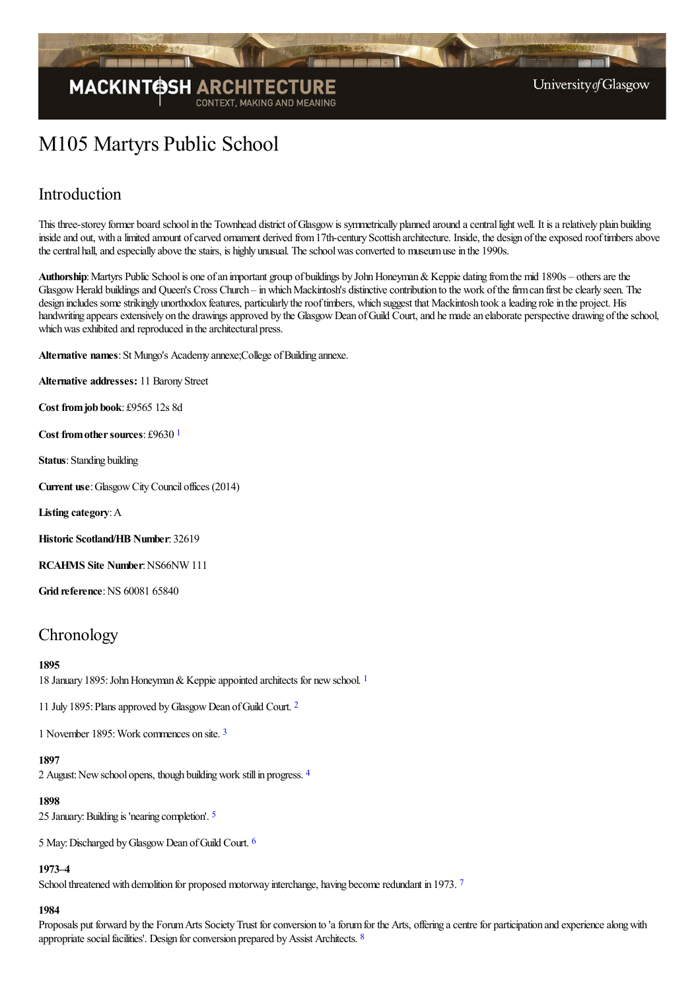

# M105 Martyrs Public School

## Introduction

This three-storey former board school in the Townhead district of Glasgow is symmetrically planned around a central light well. It is a relatively plain building inside and out, with a limited amount of carved ornament derived from 17th-century Scottish architecture. Inside, the design of the exposed roof timbers above the central hall, and especially above the stairs, is highly unusual. The school was converted to museum use in the 1990s.

Authorship: Martyrs Public School is one of an important group of buildings by John Honeyman & Keppie dating from the mid 1890s – others are the Glasgow Herald buildings and Queen's Cross Church – in which Mackintosh's distinctive contribution to the work of the firm can first be clearly seen. The design includes some strikingly unorthodox features, particularly the roof timbers, which suggest that Mackintosh took a leading role in the project. His handwriting appears extensively on the drawings approved by the Glasgow Dean of Guild Court, and he made an elaborate perspective drawing of the school, which was exhibited and reproduced in the architectural press.

Alternative names: St Mungo's Academy annexe; College of Building annexe.

**Alternative addresses:** 11 Barony Street

**Cost fromjob book**: £9565 12s 8d

<span id="page-0-0"></span>**Cost from other sources: £9630 [1](#page-7-0)** 

**Status**: Standing building

**Current use**:GlasgowCityCouncil offices (2014)

**Listing category**:A

**Historic Scotland/HB Number**: 32619

**RCAHMS** Site Number: NS66NW 111

**Grid reference: NS 60081 65840** 

## **Chronology**

### **1895**

<span id="page-0-1"></span>[1](#page-7-1)8 January 1895: John Honeyman & Keppie appointed architects for new school. <sup>1</sup>

<span id="page-0-2"></span>11 July 1895: Plans approved by Glasgow Dean of Guild Court. <sup>[2](#page-7-2)</sup>

<span id="page-0-3"></span>1 November 1895:Work commences on site. [3](#page-7-3)

#### <span id="page-0-4"></span>**1897**

2 August: New school opens, though building work still in progress. [4](#page-7-4)

#### <span id="page-0-5"></span>**1898**

25 January:Building is 'nearing completion'. [5](#page-7-5)

5 May:Discharged byGlasgowDean ofGuild Court. [6](#page-7-6)

<span id="page-0-7"></span><span id="page-0-6"></span>**1973–4**

School threatened with demolition for proposed motorway interchange, having become redundant in 19[7](#page-7-7)3. 7

### <span id="page-0-8"></span>**1984**

Proposals put forward by the Forum Arts Society Trust for conversion to 'a forum for the Arts, offering a centre for participation and experience along with appropriate social facilities'. Design for conversion prepared by Assist Architects. [8](#page-7-8)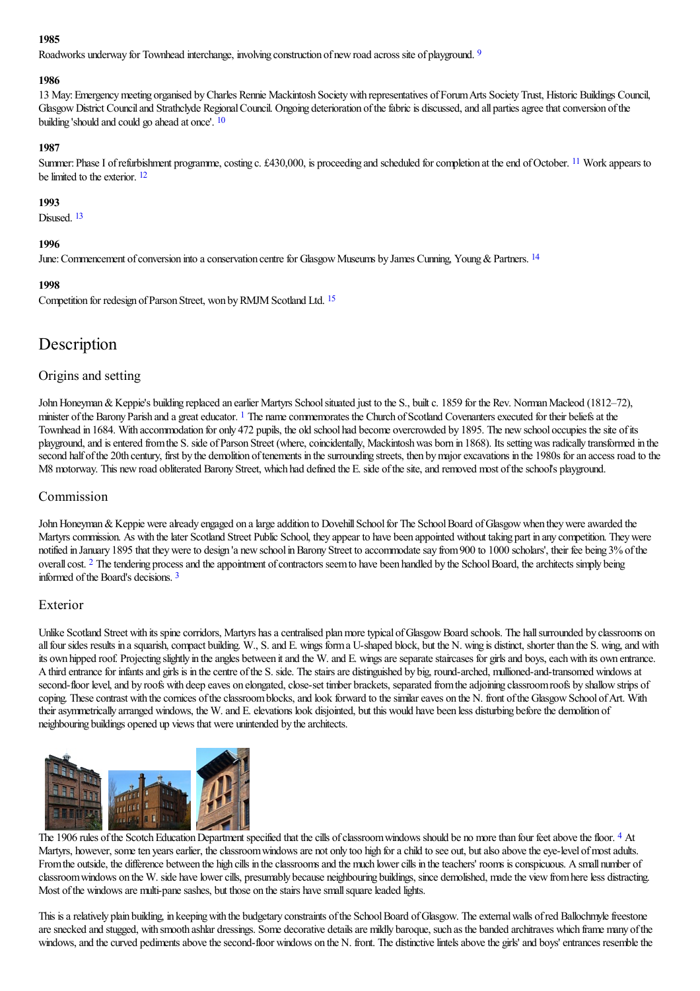### <span id="page-1-0"></span>**1985**

Roadworks underway for Townhead interchange, involving construction of new road across site of playground. <sup>[9](#page-7-9)</sup>

### **1986**

13 May:Emergencymeeting organised byCharles Rennie Mackintosh Societywith representatives ofForumArts SocietyTrust, Historic Buildings Council, Glasgow District Council and Strathclyde Regional Council. Ongoing deterioration of the fabric is discussed, and all parties agree that conversion of the building 'should and could go ahead at once'. [10](#page-7-10)

### <span id="page-1-2"></span><span id="page-1-1"></span>**1987**

<span id="page-1-3"></span>Summer: Phase I of refurbishment programme, costing c. £430,000, is proceeding and scheduled for completion at the end of October. <sup>[11](#page-7-11)</sup> Work appears to be limited to the exterior.  $12$ 

### **1993**

<span id="page-1-4"></span>Disused.<sup>[13](#page-7-13)</sup>

### <span id="page-1-5"></span>**1996**

June: Commencement of conversion into a conservation centre for Glasgow Museums by James Cunning, Young & Partners. <sup>[14](#page-7-14)</sup>

### **1998**

<span id="page-1-6"></span>Competition for redesign of Parson Street, won by RMJM Scotland Ltd. <sup>[15](#page-7-15)</sup>

## Description

### Origins and setting

<span id="page-1-7"></span>John Honeyman & Keppie's building replaced an earlier Martyrs School situated just to the S., built c. 1859 for the Rev. Norman Macleod (1812–72), minister of the Barony Parish and a great educator.  $\frac{1}{1}$  $\frac{1}{1}$  $\frac{1}{1}$  The name commemorates the Church of Scotland Covenanters executed for their beliefs at the Townhead in 1684. With accommodation for only 472 pupils, the old school had become overcrowded by 1895. The newschool occupies thesite ofits playground, and is entered from the S. side of Parson Street (where, coincidentally, Mackintosh was born in 1868). Its setting was radically transformed in the second half of the 20th century, first by the demolition of tenements in the surrounding streets, then by major excavations in the 1980s for an access road to the M8 motorway. This new road obliterated Barony Street, which had defined the E. side of the site, and removed most of the school's playground.

### Commission

<span id="page-1-8"></span>John Honeyman & Keppie were already engaged on a large addition to Dovehill School for The School Board of Glasgow when they were awarded the Martyrs commission. As with the later Scotland Street Public School, they appear to have been appointed without taking part in any competition. They were notified in January 1895 that they were to design 'a new school in Barony Street to accommodate say from 900 to 1000 scholars', their fee being 3% of the overall cost. <sup>[2](#page-7-17)</sup> The tendering process and the appointment of contractors seem to have been handled by the School Board, the architects simply being informed ofthe Board's decisions. [3](#page-7-18)

### <span id="page-1-9"></span>Exterior

Unlike Scotland Street with its spine corridors, Martyrs has a centralised plan more typical of Glasgow Board schools. The hall surrounded by classrooms on all four sides results in a squarish, compact building. W., S. and E. wings form a U-shaped block, but the N. wing is distinct, shorter than the S. wing, and with its own hipped roof. Projecting slightly in the angles between it and the W. and E. wings are separate staircases for girls and boys, each with its own entrance. A third entrance for infants and girls is in the centre of the S. side. The stairs are distinguished by big, round-arched, mullioned-and-transomed windows at second-floor level, and by roofs with deep eaves on elongated, close-set timber brackets, separated from the adjoining classroom roofs by shallow strips of coping. These contrast with the cornices of the classroom blocks, and look forward to the similar eaves on the N. front of the Glasgow School of Art. With their asymmetrically arranged windows, the W. and E. elevations look disjointed, but this would have been less disturbing before the demolition of neighbouring buildings opened up views that were unintended by the architects.



<span id="page-1-10"></span>The 1906 rules of the Scotch Education Department specified that the cills of classroom windows should be no more than four feet above the floor. <sup>[4](#page-7-19)</sup> At Martyrs, however, some ten years earlier, the classroom windows are not only too high for a child to see out, but also above the eye-level of most adults. From the outside, the difference between the high cills in the classrooms and the much lower cills in the teachers' rooms is conspicuous. A small number of classroom windows on the W. side have lower cills, presumably because neighbouring buildings, since demolished, made the view from here less distracting. Most of the windows are multi-pane sashes, but those on the stairs have small square leaded lights.

This is a relatively plain building, in keeping with the budgetary constraints of the School Board of Glasgow. The external walls of red Ballochmyle freestone are snecked and stugged, with smooth ashlar dressings. Some decorative details are mildly baroque, such as the banded architraves which frame many of the windows, and the curved pediments above the second-floor windows on the N. front. The distinctive lintels above the girls' and boys' entrances resemble the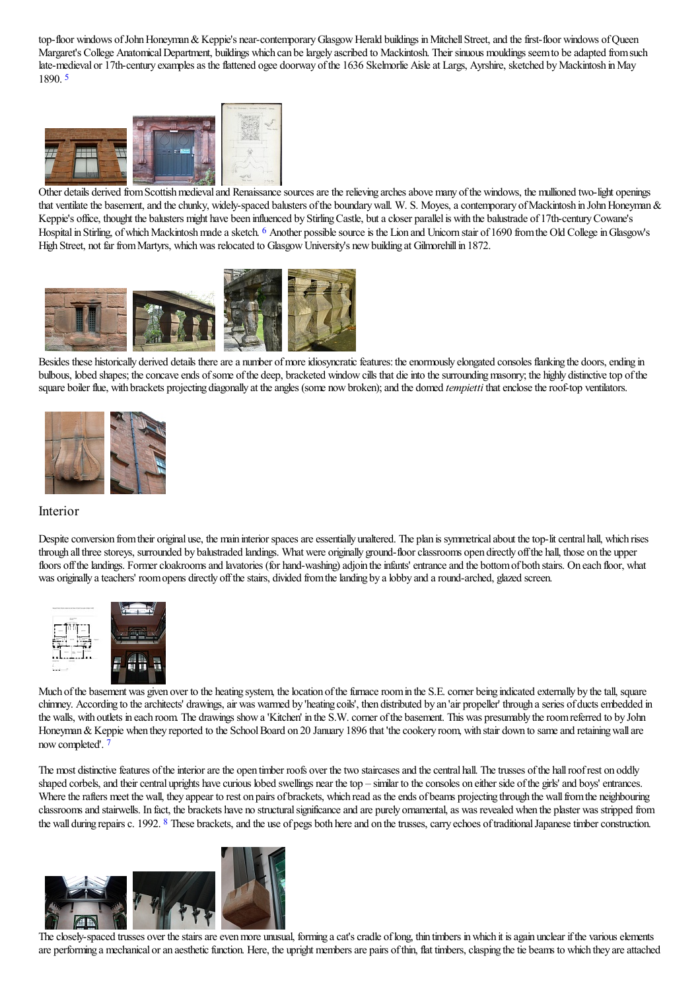top-floor windows of John Honeyman & Keppie's near-contemporary Glasgow Herald buildings in Mitchell Street, and the first-floor windows of Queen Margaret's College Anatomical Department, buildings which can be largely ascribed to Mackintosh. Their sinuous mouldings seem to be adapted from such late-medieval or 17th-century examples as the flattened ogee doorway of the 1636 Skelmorlie Aisle at Largs, Ayrshire, sketched by Mackintosh in May 1890. [5](#page-7-20)

<span id="page-2-0"></span>

<span id="page-2-1"></span>Other details [derived](http://www.mackintosh-architecture.gla.ac.uk/catalogue/images/?filename=c125_008) from Scottish medieval and [Renaissance](http://www.mackintosh-architecture.gla.ac.uk/catalogue/images/?filename=a125_001) sources are the relieving arches above many of the windows, the mullioned two-light openings that ventilate the basement, and the chunky, widely-spaced balusters of the boundary wall. W. S. Moyes, a contemporary of Mackintosh in John Honeyman & Keppie's office, thought the balusters might have been influenced by Stirling Castle, but a closer parallel is with the balustrade of 17th-century Cowane's Hospital in Stirling, of which Mackintosh made a sketch. <sup>[6](#page-7-21)</sup> Another possible source is the Lion and Unicorn stair of 1690 from the Old College in Glasgow's High Street, not far fromMartyrs, whichwas relocated to GlasgowUniversity's newbuilding at Gilmorehillin 1872.



Besides these historically derived details there are a number of more idiosyncratic features: the enormously elongated consoles flanking the doors, ending in bulbous, lobed shapes; the concave ends of some of the deep, bracketed window cills that die into the surrounding masonry; the highly distinctive top of the square boiler flue, with brackets projecting diagonally at the angles (some now broken); and the domed *tempietti* that enclose the roof-top ventilators.



### Interior

Despite conversion from their original use, the main interior spaces are essentially unaltered. The plan is symmetrical about the top-lit central hall, which rises through all three storeys, surrounded by balustraded landings. What were originally ground-floor classrooms open directly off the hall, those on the upper floors off the landings. Former cloakrooms and lavatories (for hand-washing) adjoin the infants' entrance and the bottom of both stairs. On each floor, what was originally a teachers' room opens directly off the stairs, divided from the landing by a lobby and a round-arched, glazed screen.



[Much](http://www.mackintosh-architecture.gla.ac.uk/catalogue/images/?filename=x125_100) of the bas[ement](http://www.mackintosh-architecture.gla.ac.uk/catalogue/images/?filename=c125_012) was given over to the heating system, the location of the furnace room in the S.E. corner being indicated externally by the tall, square chimney. According to the architects' drawings, air was warmed by 'heating coils', then distributed by an 'air propeller' through a series of ducts embedded in the walls, with outlets in each room. The drawings show a 'Kitchen' in the S.W. corner of the basement. This was presumably the room referred to by John Honeyman & Keppie when they reported to the School Board on 20 January 1896 that 'the cookery room, with stair down to same and retaining wall are now completed'. [7](#page-7-22)

<span id="page-2-2"></span>The most distinctive features of the interior are the open timber roofs over the two staircases and the central hall. The trusses of the hall roof rest on oddly shaped corbels, and their central uprights have curious lobed swellings near the top – similar to the consoles on either side of the girls' and boys' entrances. Where the rafters meet the wall, they appear to rest on pairs of brackets, which read as the ends of beams projecting through the wall from the neighbouring classrooms and stairwells. In fact, the brackets have no structural significance and are purely ornamental, as was revealed when the plaster was stripped from the wall during repairs c. 1992. <sup>[8](#page-7-23)</sup> These brackets, and the use of pegs both here and on the trusses, carry echoes of traditional Japanese timber construction.

<span id="page-2-3"></span>

The closely-spaced trusses over the stairs are even more unusual, forming a cat's cradle of long, thin timbers in which it is again unclear if the various elements are performing a mechanical or an aesthetic function. Here, the upright members are pairs of thin, flat timbers, clasping the tie beams to which they are attached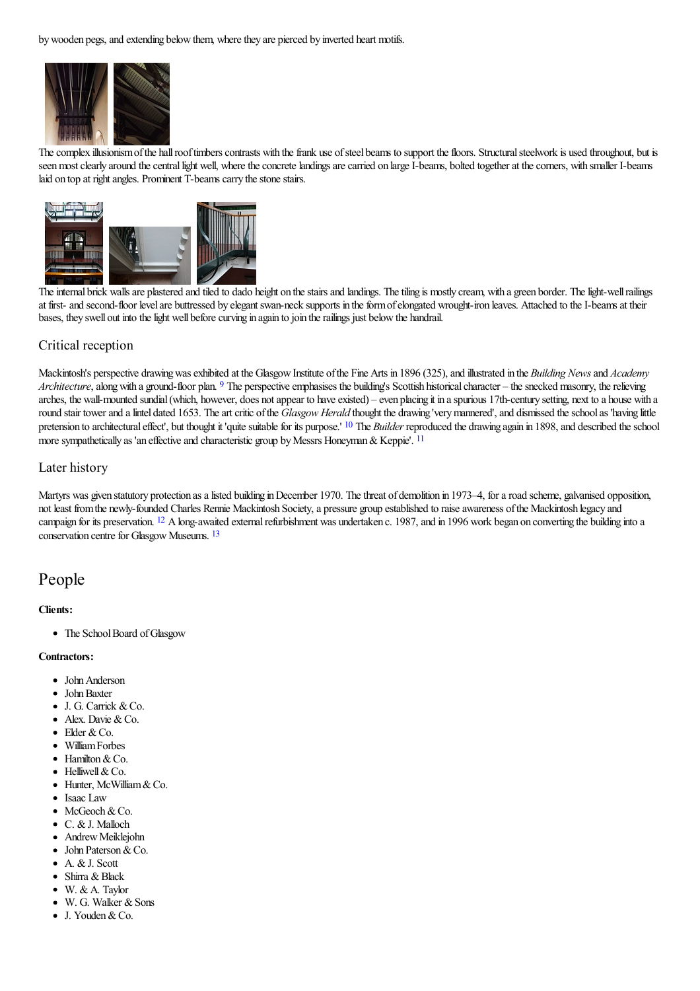by wooden pegs, and extending below them, where they are pierced by inverted heart motifs.



The complex illusionism of the hall roof timbers contrasts with the frank use of steel beams to support the floors. Structural steelwork is used throughout, but is seen most clearly around the central light well, where the concrete landings are carried on large I-beams, bolted together at the corners, with smaller I-beams laid on top at right angles. Prominent T-beams carry the stone stairs.



The internal brick walls are plastered and tiled to dado height on the stairs and landings. The tiling is mostly cream, with a green border. The light-well railings at first- and second-floor level are buttressed by elegant swan-neck supports in the form of elongated wrought-iron leaves. Attached to the I-beams at their bases, they swell out into the light well before curving in again to join the railings just below the handrail.

### Critical reception

<span id="page-3-0"></span>Mackintosh's perspective drawing was exhibited at the Glasgow Institute of the Fine Arts in 1896 (325), and illustrated in the *Building News* and *Academy Architecture*, along with a ground-floor plan. <sup>[9](#page-7-24)</sup> The perspective emphasises the building's Scottish historical character – the snecked masonry, the relieving arches, the wall-mounted sundial (which, however, does not appear to have existed) – even placing it in a spurious 17th-century setting, next to a house with a round stair tower and a lintel dated 1653. The art critic of the *Glasgow Herald* thought the drawing 'very mannered', and dismissed the school as 'having little pretension to architectural effect', but thought it 'quite suitable for its purpose.' <sup>[10](#page-8-0)</sup> The *Builder* reproduced the drawing again in 1898, and described the school more sympathetically as 'an effective and characteristic group by Messrs Honeyman & Keppie'.  $11$ 

### <span id="page-3-2"></span><span id="page-3-1"></span>Later history

<span id="page-3-4"></span><span id="page-3-3"></span>Martyrs was given statutory protection as a listed building in December 1970. The threat of demolition in 1973–4, for a road scheme, galvanised opposition, not least from the newly-founded Charles Rennie Mackintosh Society, a pressure group established to raise awareness of the Mackintosh legacy and campaign for its preservation. <sup>[12](#page-8-2)</sup> A long-awaited external refurbishment was undertaken c. 1987, and in 1996 work began on converting the building into a conservation centre for Glasgow Museums. <sup>[13](#page-8-3)</sup>

### People

### **Clients:**

• The School Board of Glasgow

### **Contractors:**

- John Anderson
- John Baxter
- J. G. Carrick & Co.  $\bullet$
- $\bullet$  Alex. Davie & Co.
- $\bullet$  Elder & Co.
- WilliamForbes
- Hamilton & Co.
- $\bullet$  Helliwell & Co.
- Hunter, McWilliam & Co.
- Isaac Law
- McGeoch & Co.
- C. &J. Malloch
- Andrew Meiklejohn
- John Paterson & Co.
- A. & J. Scott Shirra & Black
- W. & A. Taylor
- W. G. Walker & Sons
- J. Youden & Co.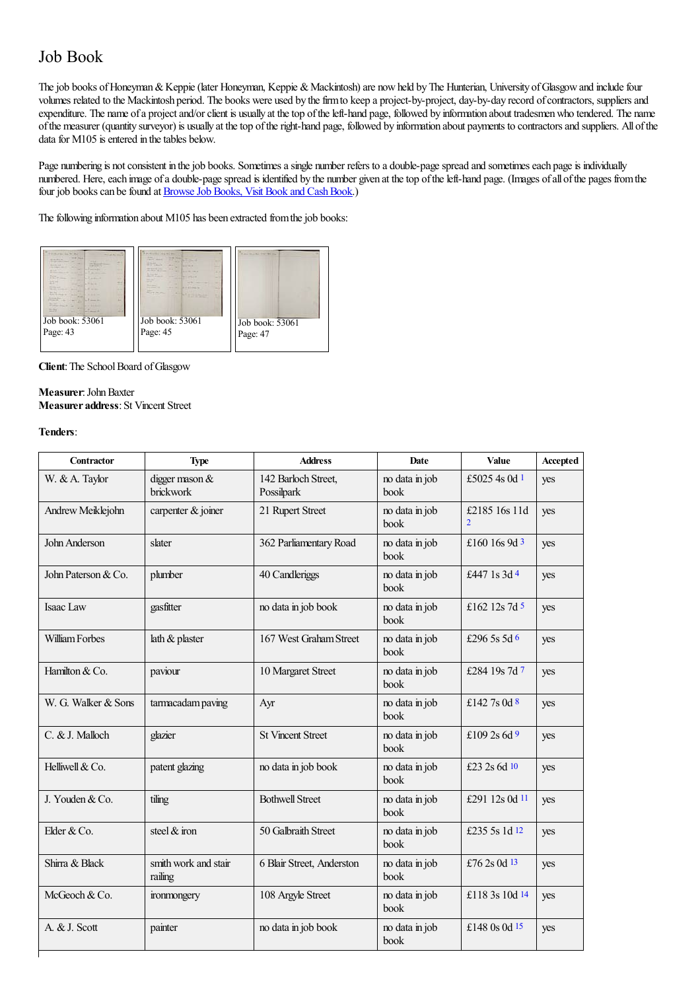## Job Book

The job books of Honeyman & Keppie (later Honeyman, Keppie & Mackintosh) are now held by The Hunterian, University of Glasgow and include four volumes related to the Mackintosh period. The books were used by the firm to keep a project-by-project, day-by-day record of contractors, suppliers and expenditure. The name of a project and/or client is usually at the top of the left-hand page, followed by information about tradesmen who tendered. The name ofthe measurer (quantity surveyor) is usually at thetop oftheright-hand page, followed by information about payments to contractorsand suppliers. All ofthe data for  $M105$  is entered in the tables below.

Page numbering is not consistent in the job books. Sometimes a single number refers to a double-page spread and sometimes each page is individually numbered. Here, each image of a double-page spread is identified by the number given at the top of the left-hand page. (Images of all of the pages from the four job books can be found at Browse Job Books, Visit Book and Cash Book.)

The following information about M105 has been extracted from the job books:



**Client**: The School Board of Glasgow

#### **Measurer**: John Baxter **Measurer address: St Vincent Street**

### **Tenders**:

<span id="page-4-14"></span><span id="page-4-13"></span><span id="page-4-12"></span><span id="page-4-11"></span><span id="page-4-10"></span><span id="page-4-9"></span><span id="page-4-8"></span><span id="page-4-7"></span><span id="page-4-6"></span><span id="page-4-5"></span><span id="page-4-4"></span><span id="page-4-3"></span><span id="page-4-2"></span><span id="page-4-1"></span><span id="page-4-0"></span>

| <b>Contractor</b>   | <b>Type</b>                     | <b>Address</b>                    | Date                                                      | Value           | Accepted |
|---------------------|---------------------------------|-----------------------------------|-----------------------------------------------------------|-----------------|----------|
| W. & A. Taylor      | digger mason $&$<br>brickwork   | 142 Barloch Street,<br>Possilpark | no data in job<br>book                                    | £5025 4s 0d $1$ | yes      |
| Andrew Meiklejohn   | carpenter & joiner              | 21 Rupert Street                  | no data in job<br>£2185 16s 11d<br>$\overline{2}$<br>book |                 | yes      |
| John Anderson       | slater                          | 362 Parliamentary Road            | £160 16s 9d 3<br>no data in job<br>book                   |                 | yes      |
| John Paterson & Co. | plumber                         | 40 Candleriggs                    | no data in job<br>£447 1s 3d 4<br>book                    |                 | yes      |
| Isaac Law           | gasfitter                       | no data in job book               | no data in job<br>£162 12s 7d $5$<br>book                 |                 | yes      |
| William Forbes      | lath $\&$ plaster               | 167 West Graham Street            | no data in job<br>£296 5s 5d 6<br>book                    |                 | yes      |
| Hamilton & Co.      | paviour                         | 10 Margaret Street                | no data in job<br>book                                    | £284 19s 7d 7   | yes      |
| W. G. Walker & Sons | tarmacadam paving               | Ayr                               | no data in job<br>£142 7s 0d $8$<br>book                  |                 | yes      |
| C. & J. Malloch     | glazier                         | <b>St Vincent Street</b>          | no data in job<br>£109 2s $6d$ 9<br>book                  |                 | yes      |
| Helliwell & Co.     | patent glazing                  | no data in job book               | no data in job<br>£23 2s 6d 10<br>book                    |                 | yes      |
| J. Youden & Co.     | tiling                          | <b>Bothwell Street</b>            | no data in job<br>book                                    | £291 12s 0d 11  | yes      |
| Elder & Co.         | steel & iron                    | 50 Galbraith Street               | no data in job<br>book                                    | £235 5s 1d 12   | yes      |
| Shirra & Black      | smith work and stair<br>railing | 6 Blair Street, Anderston         | no data in job<br>£76 2s 0d 13<br>book                    |                 | yes      |
| McGeoch & Co.       | ironmongery                     | 108 Argyle Street                 | no data in job<br>£118 3s 10d 14<br>book                  |                 | yes      |
| A. & J. Scott       | painter                         | no data in job book               | no data in job<br>book                                    | £148 0s 0d 15   | yes      |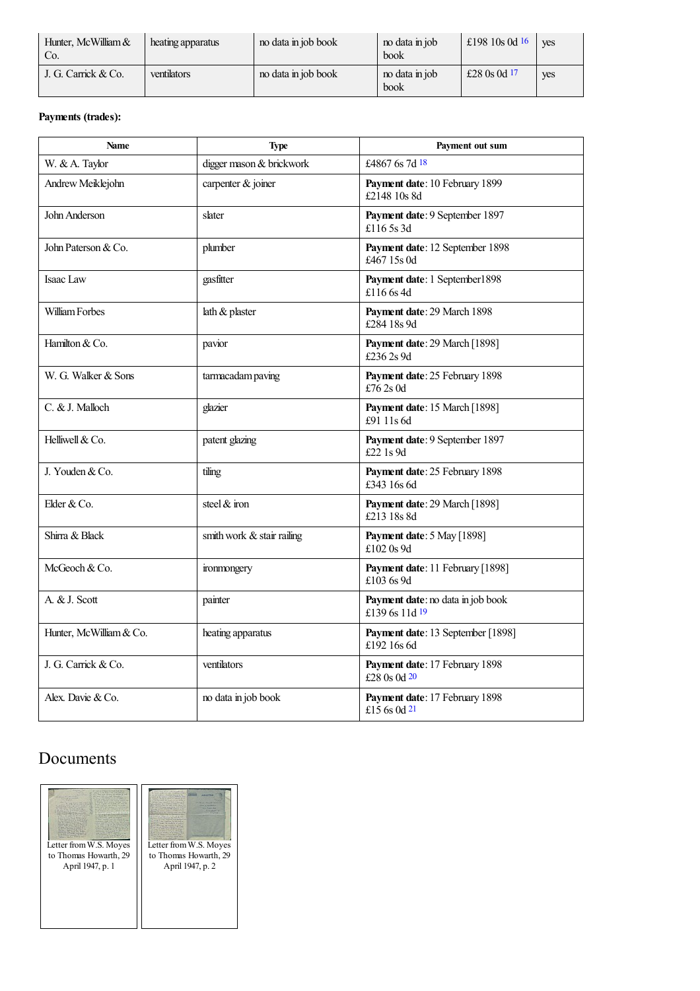<span id="page-5-1"></span><span id="page-5-0"></span>

| Hunter, McWilliam &<br>Co. | heating apparatus | no data in job book | no data in job<br>book | £198 10s 0d $16$ | <b>ves</b> |
|----------------------------|-------------------|---------------------|------------------------|------------------|------------|
| J. G. Carrick & Co.        | ventilators       | no data in job book | no data in job<br>book | £28 0s 0d $17$   | ves        |

### **Payments (trades):**

<span id="page-5-2"></span>

| <b>Name</b>             | <b>Type</b>                  | Payment out sum                                     |
|-------------------------|------------------------------|-----------------------------------------------------|
| W. & A. Taylor          | digger mason & brickwork     | £4867 6s 7d 18                                      |
| Andrew Meiklejohn       | carpenter & joiner           | Payment date: 10 February 1899<br>£2148 10s 8d      |
| John Anderson           | slater                       | Payment date: 9 September 1897<br>£116 5s 3d        |
| John Paterson & Co.     | plumber                      | Payment date: 12 September 1898<br>£467 15s 0d      |
| Isaac Law               | gasfitter                    | Payment date: 1 September1898<br>£116 6s 4d         |
| William Forbes          | lath & plaster               | Payment date: 29 March 1898<br>£284 18s 9d          |
| Hamilton & Co.          | pavior                       | Payment date: 29 March [1898]<br>£236 2s 9d         |
| W. G. Walker & Sons     | tarmacadam paving            | Payment date: 25 February 1898<br>£76 2s 0d         |
| C. & J. Malloch         | glazier                      | Payment date: 15 March [1898]<br>£91 11s 6d         |
| Helliwell & Co.         | patent glazing               | Payment date: 9 September 1897<br>£22 1s 9d         |
| J. Youden & Co.         | tiling                       | Payment date: 25 February 1898<br>£343 16s 6d       |
| Elder & Co.             | steel & iron                 | Payment date: 29 March [1898]<br>£213 18s 8d        |
| Shirra & Black          | smith work $&$ stair railing | Payment date: 5 May [1898]<br>£102 0s 9d            |
| McGeoch & Co.           | ironmongery                  | Payment date: 11 February [1898]<br>£103 6s 9d      |
| A. & J. Scott           | painter                      | Payment date: no data in job book<br>£139 6s 11d 19 |
| Hunter, McWilliam & Co. | heating apparatus            | Payment date: 13 September [1898]<br>£192 16s 6d    |
| J. G. Carrick & Co.     | ventilators                  | Payment date: 17 February 1898<br>£28 0s 0d 20      |
| Alex. Davie & Co.       | no data in job book          | Payment date: 17 February 1898<br>£15 6s 0d 21      |

## Documents



<span id="page-5-5"></span><span id="page-5-4"></span><span id="page-5-3"></span>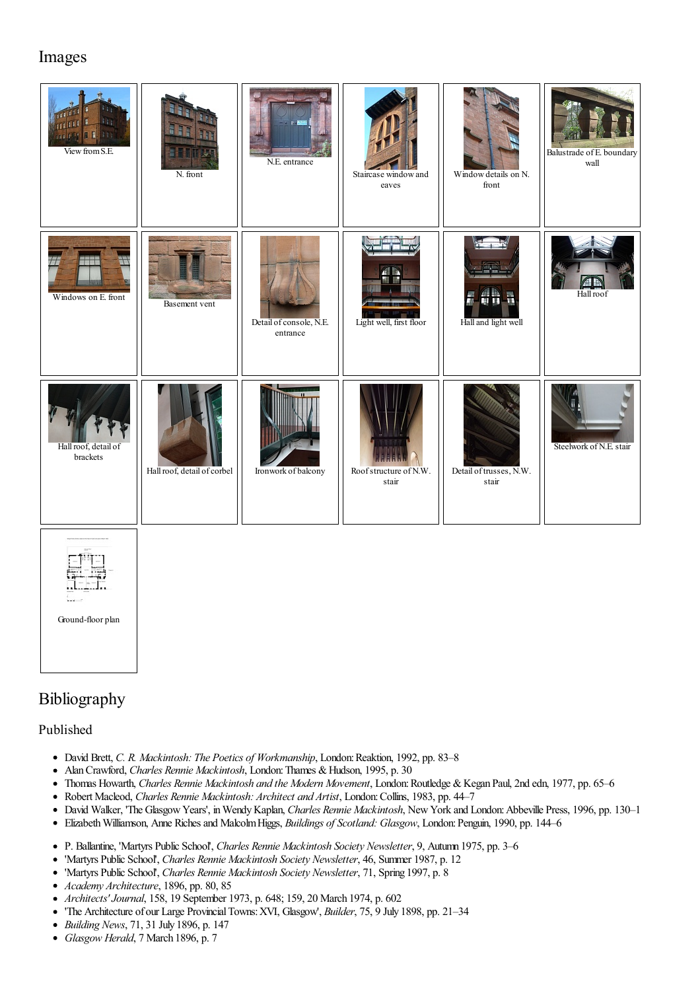## Images

| ш<br><b>A.L.</b><br>acies <b>0 F</b> 335<br>View from S.E. | N. front                    | N.E. entrance                       | Staircase window and<br>eaves                            | Window details on N.<br>front    | Balustrade of E. boundary<br>wall |
|------------------------------------------------------------|-----------------------------|-------------------------------------|----------------------------------------------------------|----------------------------------|-----------------------------------|
| Windows on E. front                                        | Basement vent               | Detail of console, N.E.<br>entrance | Light well, first floor                                  | Hall and light well              | Hall roof                         |
| Hall roof, detail of<br>brackets                           | Hall roof, detail of corbel | Ironwork of balcony                 | Roof structure of N.W.<br>$_{\mbox{\scriptsize{stair}}}$ | Detail of trusses, N.W.<br>stair | Steelwork of N.E. stair           |
| Ground-floor plan                                          |                             |                                     |                                                          |                                  |                                   |

## Bibliography

### Published

- David Brett, *C. R. Mackintosh: The Poetics of Workmanship*, London:Reaktion, 1992, pp. 83–8
- Alan Crawford, *Charles Rennie Mackintosh*, London: Thames & Hudson, 1995, p. 30  $\bullet$
- Thomas Howarth, *Charles Rennie Mackintosh and the Modern Movement*, London:Routledge &Kegan Paul, 2nd edn, 1977, pp. 65–6  $\bullet$
- Robert Macleod, *Charles Rennie Mackintosh: Architect and Artist*, London:Collins, 1983, pp. 44–7
- David Walker, 'The GlasgowYears', inWendyKaplan, *Charles Rennie Mackintosh*, NewYork and London:Abbeville Press, 1996, pp. 130–1  $\bullet$
- ElizabethWilliamson, Anne Richesand MalcolmHiggs, *Buildings of Scotland: Glasgow*, London:Penguin, 1990, pp. 144–6
- P. Ballantine, 'Martyrs Public School', *Charles Rennie Mackintosh Society Newsletter*, 9, Autumn 1975, pp. 3–6
- 'Martyrs Public School', *Charles Rennie Mackintosh Society Newsletter*, 46, Summer 1987, p. 12  $\bullet$
- 'Martyrs Public School', *Charles Rennie Mackintosh Society Newsletter*, 71, Spring 1997, p. 8  $\bullet$
- *Academy Architecture*, 1896, pp. 80, 85  $\bullet$
- *Architects'Journal*, 158, 19 September 1973, p. 648; 159, 20 March 1974, p. 602
- 'The Architecture of our Large ProvincialTowns:XVI, Glasgow', *Builder*, 75, 9 July 1898, pp. 21–34
- *Building News*, 71, 31 July 1896, p. 147
- *Glasgow Herald*, 7 March 1896, p. 7 $\bullet$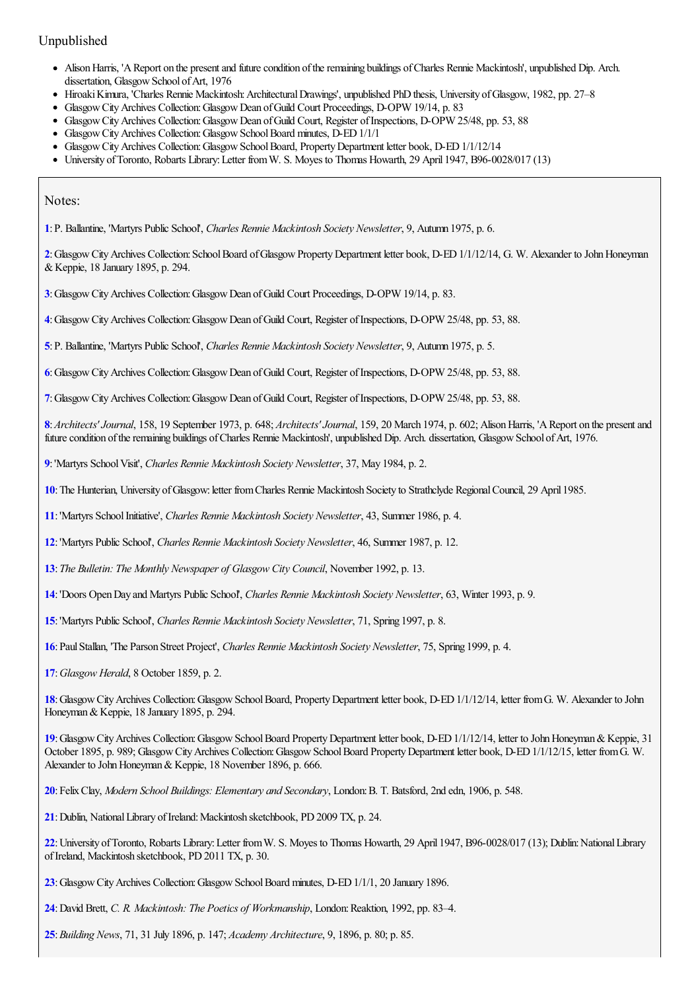### Unpublished

- Alison Harris, 'A Report on the present and future condition of the remaining buildings of Charles Rennie Mackintosh', unpublished Dip. Arch. dissertation, Glasgow School of Art, 1976
- Hiroaki Kimura, 'Charles Rennie Mackintosh: Architectural Drawings', unpublished PhD thesis, University of Glasgow, 1982, pp. 27–8
- GlasgowCityArchives Collection:GlasgowDean ofGuild Court Proceedings, D-OPW 19/14, p. 83
- GlasgowCityArchives Collection:GlasgowDean ofGuild Court, Register ofInspections, D-OPW 25/48, pp. 53, 88
- Glasgow City Archives Collection: Glasgow School Board minutes, D-ED 1/1/1
- Glasgow City Archives Collection: Glasgow School Board, Property Department letter book, D-ED 1/1/12/14
- University ofToronto, Robarts Library:Letter fromW. S. Moyes to Thomas Howarth, 29 April 1947, B96-0028/017 (13)

Notes:

<span id="page-7-0"></span>:P. Ballantine, 'Martyrs Public School', *Charles Rennie Mackintosh Society Newsletter*, 9, Autumn 1975, p. 6.

<span id="page-7-1"></span>:GlasgowCityArchives Collection:SchoolBoard ofGlasgowPropertyDepartment letter book, D-ED1/1/12/14, G. W. Alexander to JohnHoneyman &Keppie, 18 January 1895, p. 294.

<span id="page-7-2"></span>:GlasgowCityArchives Collection:GlasgowDean ofGuild Court Proceedings, D-OPW 19/14, p. 83.

<span id="page-7-3"></span>:GlasgowCityArchives Collection:GlasgowDean ofGuild Court, Register ofInspections, D-OPW 25/48, pp. 53, 88.

<span id="page-7-4"></span>:P. Ballantine, 'Martyrs Public School', *Charles Rennie Mackintosh Society Newsletter*, 9, Autumn 1975, p. 5.

<span id="page-7-5"></span>:GlasgowCityArchives Collection:GlasgowDean ofGuild Court, Register ofInspections, D-OPW 25/48, pp. 53, 88.

<span id="page-7-6"></span>:GlasgowCityArchives Collection:GlasgowDean ofGuild Court, Register ofInspections, D-OPW 25/48, pp. 53, 88.

<span id="page-7-7"></span>: Architects' Journal, 158, 19 September 1973, p. 648; *Architects' Journal*, 159, 20 March 1974, p. 602; Alison Harris, 'A Report on the present and future condition of the remaining buildings of Charles Rennie Mackintosh', unpublished Dip. Arch. dissertation, Glasgow School of Art, 1976.

<span id="page-7-8"></span>:'Martyrs SchoolVisit', *Charles Rennie Mackintosh Society Newsletter*, 37, May 1984, p. 2.

<span id="page-7-9"></span>: The Hunterian, University of Glasgow: letter from Charles Rennie Mackintosh Society to Strathclyde Regional Council, 29 April 1985.

<span id="page-7-10"></span>:'Martyrs SchoolInitiative', *Charles Rennie Mackintosh Society Newsletter*, 43, Summer 1986, p. 4.

<span id="page-7-11"></span>:'Martyrs Public School', *Charles Rennie Mackintosh Society Newsletter*, 46, Summer 1987, p. 12.

- <span id="page-7-12"></span>:*The Bulletin: The Monthly Newspaper of Glasgow City Council*, November 1992, p. 13.
- <span id="page-7-13"></span>:'Doors OpenDay and Martyrs Public School', *Charles Rennie Mackintosh Society Newsletter*, 63, Winter 1993, p. 9.
- <span id="page-7-14"></span>:'Martyrs Public School', *Charles Rennie Mackintosh Society Newsletter*, 71, Spring 1997, p. 8.
- <span id="page-7-15"></span>:PaulStallan, 'The Parson Street Project', *Charles Rennie Mackintosh Society Newsletter*, 75, Spring 1999, p. 4.

<span id="page-7-16"></span>:*Glasgow Herald*, 8 October 1859, p. 2.

<span id="page-7-17"></span>: Glasgow City Archives Collection: Glasgow School Board, Property Department letter book, D-ED 1/1/12/14, letter from G. W. Alexander to John Honeyman&Keppie, 18 January 1895, p. 294.

<span id="page-7-18"></span>: Glasgow City Archives Collection: Glasgow School Board Property Department letter book, D-ED 1/1/12/14, letter to John Honeyman & Keppie, 31 October 1895, p. 989; Glasgow City Archives Collection: Glasgow School Board Property Department letter book, D-ED 1/1/12/15, letter from G. W. Alexander to John Honeyman & Keppie, 18 November 1896, p. 666.

<span id="page-7-19"></span>:FelixClay, *Modern School Buildings: Elementary and Secondary*, London:B. T. Batsford, 2nd edn, 1906, p. 548.

<span id="page-7-20"></span>: Dublin, National Library of Ireland: Mackintosh sketchbook, PD 2009 TX, p. 24.

<span id="page-7-21"></span>: University of Toronto, Robarts Library: Letter from W. S. Moyes to Thomas Howarth, 29 April 1947, B96-0028/017 (13); Dublin: National Library of Ireland, Mackintosh sketchbook, PD 2011 TX, p. 30.

- <span id="page-7-22"></span>: Glasgow City Archives Collection: Glasgow School Board minutes, D-ED 1/1/1, 20 January 1896.
- <span id="page-7-23"></span>:David Brett, *C. R. Mackintosh: The Poetics of Workmanship*, London:Reaktion, 1992, pp. 83–4.
- <span id="page-7-24"></span>:*Building News*, 71, 31 July 1896, p. 147; *Academy Architecture*, 9, 1896, p. 80; p. 85.